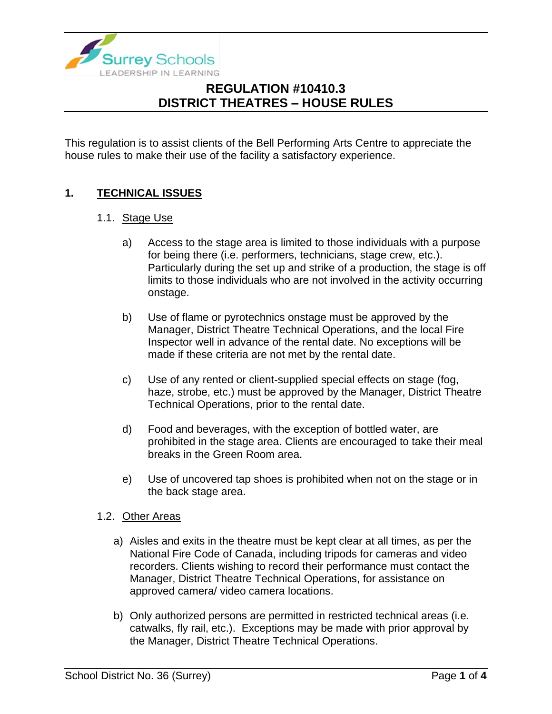

This regulation is to assist clients of the Bell Performing Arts Centre to appreciate the house rules to make their use of the facility a satisfactory experience.

### **1. TECHNICAL ISSUES**

#### 1.1. Stage Use

- a) Access to the stage area is limited to those individuals with a purpose for being there (i.e. performers, technicians, stage crew, etc.). Particularly during the set up and strike of a production, the stage is off limits to those individuals who are not involved in the activity occurring onstage.
- b) Use of flame or pyrotechnics onstage must be approved by the Manager, District Theatre Technical Operations, and the local Fire Inspector well in advance of the rental date. No exceptions will be made if these criteria are not met by the rental date.
- c) Use of any rented or client-supplied special effects on stage (fog, haze, strobe, etc.) must be approved by the Manager, District Theatre Technical Operations, prior to the rental date.
- d) Food and beverages, with the exception of bottled water, are prohibited in the stage area. Clients are encouraged to take their meal breaks in the Green Room area.
- e) Use of uncovered tap shoes is prohibited when not on the stage or in the back stage area.

#### 1.2. Other Areas

- a) Aisles and exits in the theatre must be kept clear at all times, as per the National Fire Code of Canada, including tripods for cameras and video recorders. Clients wishing to record their performance must contact the Manager, District Theatre Technical Operations, for assistance on approved camera/ video camera locations.
- b) Only authorized persons are permitted in restricted technical areas (i.e. catwalks, fly rail, etc.). Exceptions may be made with prior approval by the Manager, District Theatre Technical Operations.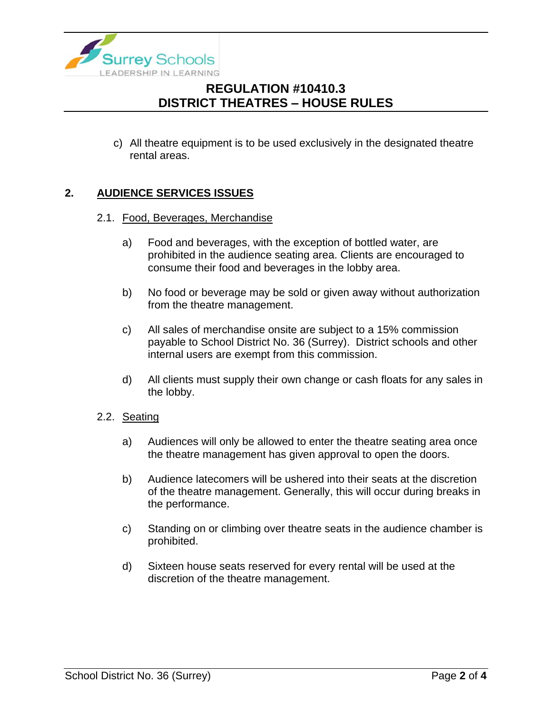

c) All theatre equipment is to be used exclusively in the designated theatre rental areas.

### **2. AUDIENCE SERVICES ISSUES**

#### 2.1. Food, Beverages, Merchandise

- a) Food and beverages, with the exception of bottled water, are prohibited in the audience seating area. Clients are encouraged to consume their food and beverages in the lobby area.
- b) No food or beverage may be sold or given away without authorization from the theatre management.
- c) All sales of merchandise onsite are subject to a 15% commission payable to School District No. 36 (Surrey). District schools and other internal users are exempt from this commission.
- d) All clients must supply their own change or cash floats for any sales in the lobby.
- 2.2. Seating
	- a) Audiences will only be allowed to enter the theatre seating area once the theatre management has given approval to open the doors.
	- b) Audience latecomers will be ushered into their seats at the discretion of the theatre management. Generally, this will occur during breaks in the performance.
	- c) Standing on or climbing over theatre seats in the audience chamber is prohibited.
	- d) Sixteen house seats reserved for every rental will be used at the discretion of the theatre management.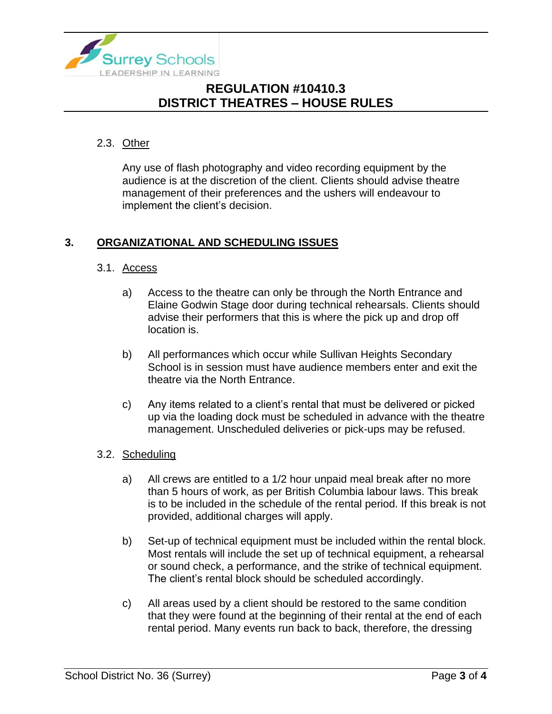

### 2.3. Other

Any use of flash photography and video recording equipment by the audience is at the discretion of the client. Clients should advise theatre management of their preferences and the ushers will endeavour to implement the client's decision.

### **3. ORGANIZATIONAL AND SCHEDULING ISSUES**

### 3.1. Access

- a) Access to the theatre can only be through the North Entrance and Elaine Godwin Stage door during technical rehearsals. Clients should advise their performers that this is where the pick up and drop off location is.
- b) All performances which occur while Sullivan Heights Secondary School is in session must have audience members enter and exit the theatre via the North Entrance.
- c) Any items related to a client's rental that must be delivered or picked up via the loading dock must be scheduled in advance with the theatre management. Unscheduled deliveries or pick-ups may be refused.
- 3.2. Scheduling
	- a) All crews are entitled to a 1/2 hour unpaid meal break after no more than 5 hours of work, as per British Columbia labour laws. This break is to be included in the schedule of the rental period. If this break is not provided, additional charges will apply.
	- b) Set-up of technical equipment must be included within the rental block. Most rentals will include the set up of technical equipment, a rehearsal or sound check, a performance, and the strike of technical equipment. The client's rental block should be scheduled accordingly.
	- c) All areas used by a client should be restored to the same condition that they were found at the beginning of their rental at the end of each rental period. Many events run back to back, therefore, the dressing